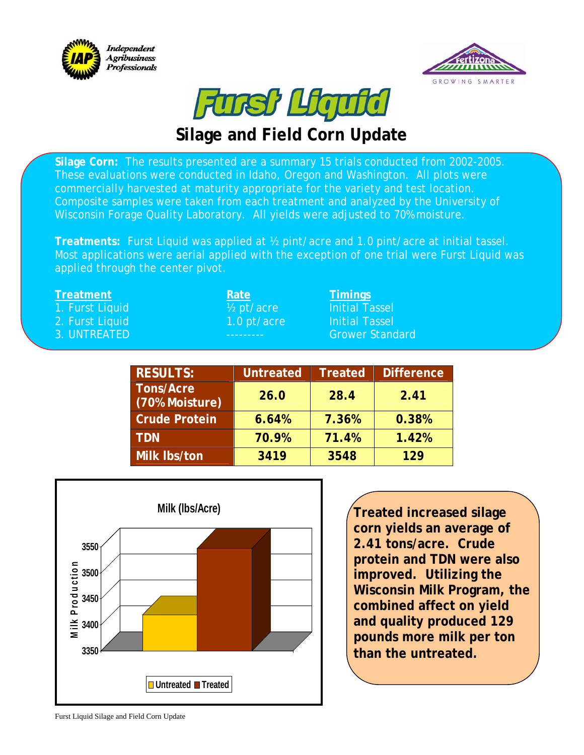





## **Silage and Field Corn Update**

**Silage Corn:** The results presented are a summary 15 trials conducted from 2002-2005. These evaluations were conducted in Idaho, Oregon and Washington. All plots were commercially harvested at maturity appropriate for the variety and test location. Composite samples were taken from each treatment and analyzed by the University of Wisconsin Forage Quality Laboratory. All yields were adjusted to 70% moisture.

**Treatments:** Furst Liquid was applied at ½ pint/acre and 1.0 pint/acre at initial tassel. Most applications were aerial applied with the exception of one trial were Furst Liquid was applied through the center pivot.

| <b>Rate</b>             | Timings                |
|-------------------------|------------------------|
| $\frac{1}{2}$ pt/acre   | <b>Initial Tassel</b>  |
| $(1.0 \text{ pt/acre})$ | <b>Initial Tassel</b>  |
|                         | <b>Grower Standard</b> |
|                         |                        |

| <b>RESULTS:</b>                    | <b>Untreated</b> | Treated | <b>Difference</b> |
|------------------------------------|------------------|---------|-------------------|
| <b>Tons/Acre</b><br>(70% Moisture) | 26.0             | 28.4    | 2.41              |
| <b>Crude Protein</b>               | 6.64%            | 7.36%   | 0.38%             |
| <b>TDN</b>                         | 70.9%            | 71.4%   | 1.42%             |
| Milk Ibs/ton                       | 3419             | 3548    | 129               |



**Treated increased silage corn yields an average of 2.41 tons/acre. Crude protein and TDN were also improved. Utilizing the Wisconsin Milk Program, the combined affect on yield and quality produced 129 pounds more milk per ton than the untreated.**

Furst Liquid Silage and Field Corn Update